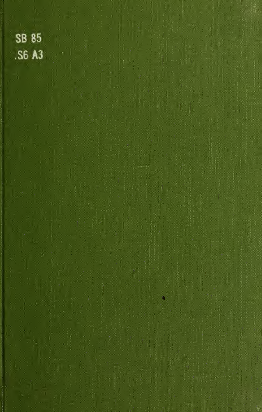SB 85 .S6 A3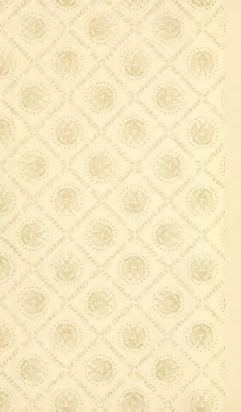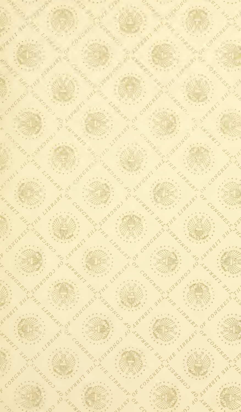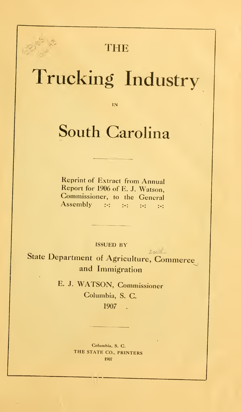# **THE**

# Trucking Industry

IN

# South Carolina

Reprint of Extract from Annual Report for 1906 of E. J. Watson, Commissioner, to the General Assembly :-: :-: :-: :-: :-:

#### ISSUED BY

 $2n +$ 

State Department of Agriculture, Commerce and Immigration

> E. J. WATSON, Commissioner Columbia, S. C. 1907 .

> > Columbia, S. C. THE STATE CO., PRINTERS 1907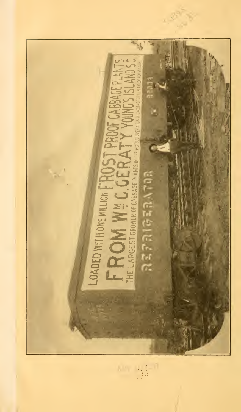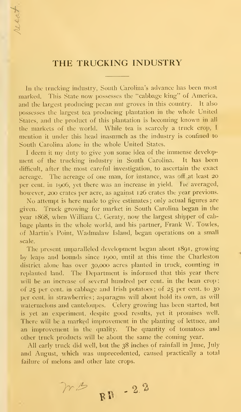## THE TRUCKING INDUSTRY

In the trucking industry, South Carolina's advance has been most marked. This State now possesses the "cabbage king" of America, and the largest producing pecan nut groves in this country. It also possesses the largest tea producing plantation in the whole United States, and the product of this plantation is becoming known in all the markets of the world. While tea is scarcely a truck crop, <sup>1</sup> mention it under this head inasmuch as the industry is confined to South Carolina alone in the whole United States.

<sup>I</sup> deem it my duty to give you some idea of the immense development of the trucking industry in South Carolina. It has been difficult, after the most careful investigation, to ascertain the exact acreage. The acreage of one man, for instance, was off at least 20 per cent, in 1906, yet there was an increase in yield. He averaged, however, 200 crates per acre, as against 126 crates the year previous.

No attempt is here made to give estimates ; only actual figures are given. Truck growing for market in South Carolina began in the year 1868, when William C. Geraty, now the largest shipper of cabbage plants in the whole world, and his partner, Frank W. Towles, of Martin's Point, Wadmalaw Island, began operations on <sup>a</sup> small scale.

The present unparalleled development began about 1891, growing by leaps and bounds since 1900, until at this time the Charleston district alone has over 30,000 acres planted in truck, counting in replanted land. The Department is informed that this year there will be an increase of several hundred per cent, in the bean crop; of 25 per cent, in cabbage and Irish potatoes; of 25 per cent, to 30 per cent, in strawberries ; asparagus will about hold its own, as will watermelons and canteloupes. Celery growing has been started, but is yet an experiment, despite good results, yet it promises well. There will be a marked improvement in the planting of lettuce, and an improvement in the quality. The quantity of tomatoes and other truck products will be about the same the coming year.

All early truck did well, but the 38 inches of rainfall in June, July and August, which was unprecedented, caused practically a total failure of melons and other late crops.

 $RD = 2.2$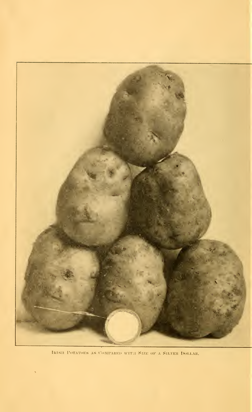

Irish Potatoes as Compared with Size of <sup>a</sup> Silver Dollar.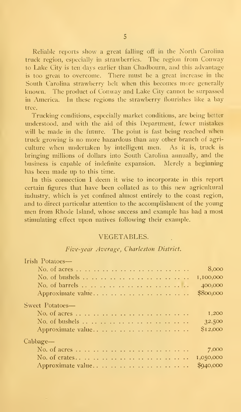Reliable reports show a great falling off in the North Carolina truck region, especially in strawberries. The region from Conway to Lake City is ten days earlier than Chadbourn, and this advantage is too great to overcome. There must be a great increase in the South Carolina strawberry belt when this becomes more generally known. The product of Conway and Lake City cannot be surpassed in America. In these regions the strawberry flourishes like a bay tree.

Trucking conditions, especially market conditions, are being better understood, and with the aid of this Department, fewer mistakes will be made in the future. The point is fast being reached when truck growing is no more hazardous than any other branch of agri culture when undertaken by intelligent men. As it is, truck is bringing millions of dollars into South Carolina annually, and the business is capable of indefinite expansion. Merely a beginning has been made up to this time.

In this connection I deem it wise to incorporate in this report certain figures that have been collated as to this new agricultural industry, which is yet confined almost entirely to the coast region, and to direct particular attention to the accomplishment of the young men from Rhode Island, whose success and example has had a most stimulating effect upon natives following their example.

#### VEGETABLES.

#### Five-year Average, Charleston District.

| Irish Potatoes—   |            |
|-------------------|------------|
|                   | 8,000      |
|                   | I, I00,000 |
|                   | 400,000    |
|                   | \$800,000  |
| Sweet Potatoes-   |            |
|                   | 1,200      |
|                   | 32,500     |
|                   | \$12,000   |
| Cabbage—          |            |
|                   | 7,000      |
|                   | 1,050,000  |
| Approximate value | \$940,000  |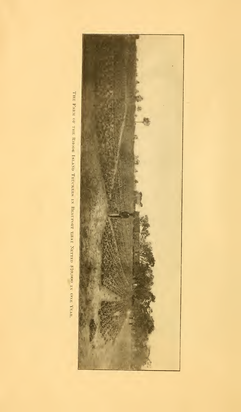

THE FARM OF THE RHODE ISLAND TRUCKERS IN BEAUFORT THAT NETTED \$10,000 IN ONE YEAR.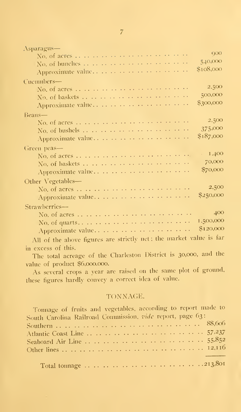| Asparagus                                                          |           |
|--------------------------------------------------------------------|-----------|
|                                                                    | 000       |
|                                                                    | 540,000   |
| Approximate value                                                  | \$108,000 |
| Cucumbers-                                                         |           |
|                                                                    | 2.500     |
|                                                                    | 500,000   |
|                                                                    | \$300,000 |
| Beans-                                                             |           |
|                                                                    | 2,500     |
|                                                                    | 375,000   |
| Approximate value                                                  | \$187,000 |
| Green peas-                                                        |           |
|                                                                    | 1,400     |
| No. of baskets             .                                       | 70,000    |
|                                                                    | \$70,000  |
| Other Vegetables—                                                  |           |
|                                                                    | 2,500     |
| Approximate value                                                  | \$250,000 |
| Strawberries-                                                      |           |
|                                                                    | 400       |
| No. of quarts                                                      | 1,500,000 |
|                                                                    | \$120,000 |
| All of the above figures are strictly net; the market value is far |           |

in excess of this.

The total acreage of the Charleston District is 30,000, and the value of product \$6,000,000.

As several crops <sup>a</sup> year are raised on the same plot of ground, these figures hardly convey <sup>a</sup> correct idea of value.

### TONNAGE.

| Tonnage of fruits and vegetables, according to report made to |  |
|---------------------------------------------------------------|--|
| South Carolina Railroad Commission, vide report, page 63:     |  |
|                                                               |  |
|                                                               |  |
|                                                               |  |
|                                                               |  |
|                                                               |  |
| Total tonnage 213,801                                         |  |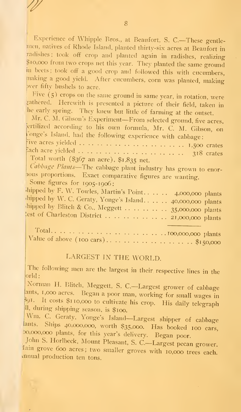Experience of Whipple Bros., at Beaufort, S. C—These gentle- men, natives of Rhode Island, planted thirty-six acres at Beaufort in radishes; took off crop and planted again in radishes, realizing £lO,0O0 from two crops net this year. They planted the same ground <sup>n</sup> beets; took off <sup>a</sup> good crop and followed this with cucumbers, naking <sup>a</sup> good yield. After cucumbers, corn was planted, making bver fifty bushels to acre.

Five (5) crops on the same ground in same year, in rotation, were fathered. Herewith is presented <sup>a</sup> picture of their field, taken in he early spring. They knew but little of farming at the outset.

Mr. C. M. Gibson's Experiment—From selected ground, five acres, ertilized according to his own formula, Mr. C. M. Gibson, on fonge's Island, had the following experience with cabbage:

ive acres yielded ... ^ crates Lach acre yielded 3l8 crates total worth (\$367 an acre), \$1,835 net.

Cabbage Plants—The cabbage plant industry has grown to enorious proportions. Exact comparative figures are wanting.

Some figures for 1905-1906:

yy

|  |  |  | hipped by F. W. Towles, Martin's Point. $\ldots$ . 4,000,000 plants |  |
|--|--|--|---------------------------------------------------------------------|--|
|  |  |  | hipped by W. C. Geraty, Yonge's Island 40,000,000 plants            |  |
|  |  |  | hipped by Blitch & Co., Meggett  35,000,000 plants                  |  |
|  |  |  | est of Charleston District 21,000,000 plants                        |  |

| Value of above $(100 \text{ cars}) \dots \dots \dots \dots \dots \dots \dots \$ \$150,000 |  |  |  |
|-------------------------------------------------------------------------------------------|--|--|--|

### LARGEST IN THE WORLD.

The following men are the largest in their respective lines in the orld

Norman H. Blitch, Meggett, S. C.-Largest grower of cabbage ants, 1,000 acres. Began <sup>a</sup> poor man, working for small wages in 91. It costs \$110,000 to cultivate his crop. His daily telegraph 11, during shipping season, is \$100.

Wm. C. Geraty, Yonge's Island—Largest shipper of cabbage bo,000,000 plants, for this year's delivery. Began poor.

John S. Horlbeck, Mount Pleasant, S. C.-Largest pecan grower. lain grove <sup>600</sup> acres; two smaller groves with 10,000 trees each mnual production ten tons.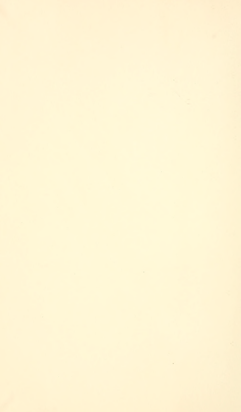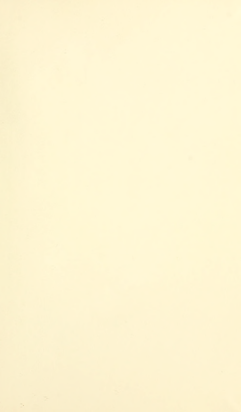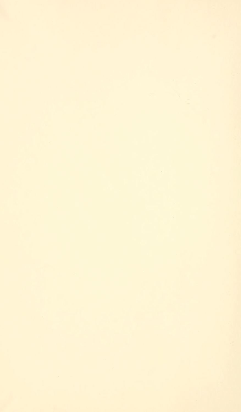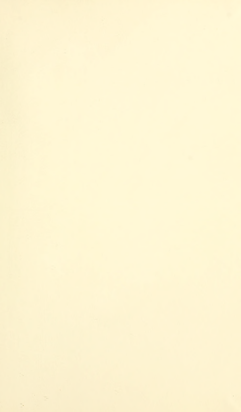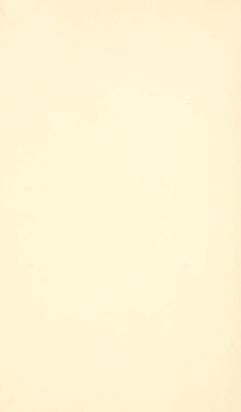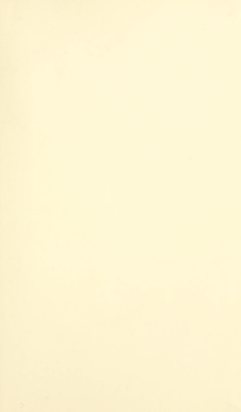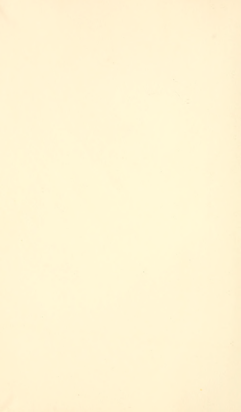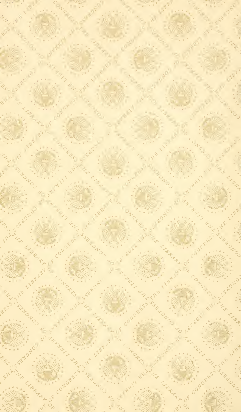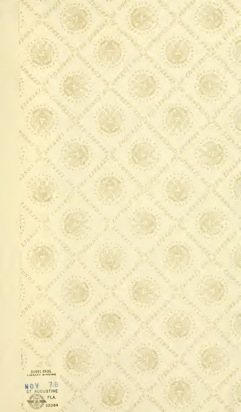